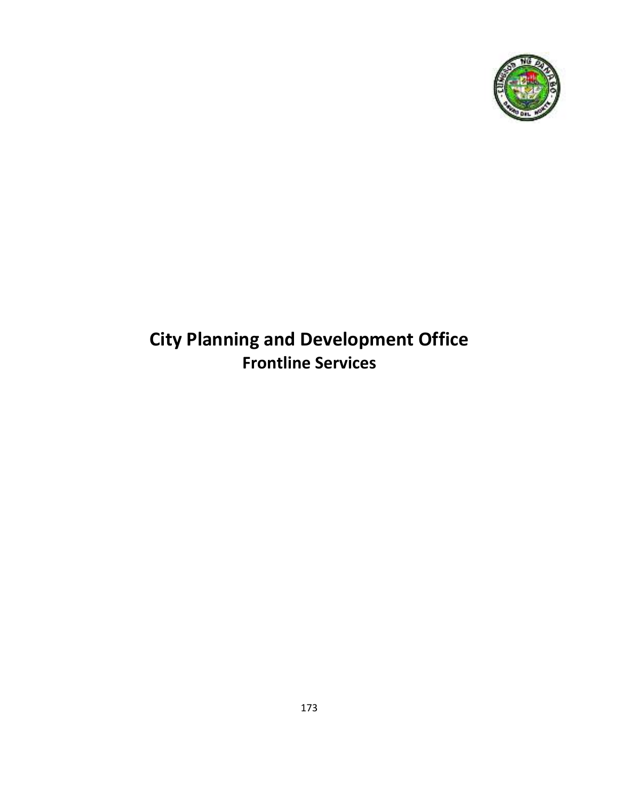

# **City Planning and Development Office Frontline Services**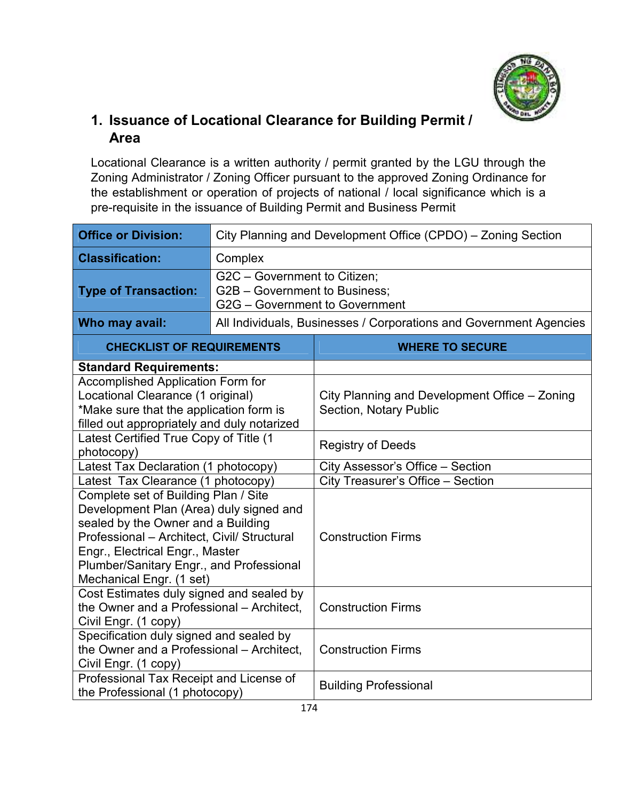

## **1. Issuance of Locational Clearance for Building Permit / Area**

Locational Clearance is a written authority / permit granted by the LGU through the Zoning Administrator / Zoning Officer pursuant to the approved Zoning Ordinance for the establishment or operation of projects of national / local significance which is a pre-requisite in the issuance of Building Permit and Business Permit

| <b>Office or Division:</b>                                                                                                                                                                                                                                                      |         | City Planning and Development Office (CPDO) - Zoning Section                                    |  |  |  |
|---------------------------------------------------------------------------------------------------------------------------------------------------------------------------------------------------------------------------------------------------------------------------------|---------|-------------------------------------------------------------------------------------------------|--|--|--|
| <b>Classification:</b>                                                                                                                                                                                                                                                          | Complex |                                                                                                 |  |  |  |
| <b>Type of Transaction:</b>                                                                                                                                                                                                                                                     |         | G2C - Government to Citizen;<br>G2B - Government to Business;<br>G2G - Government to Government |  |  |  |
| Who may avail:                                                                                                                                                                                                                                                                  |         | All Individuals, Businesses / Corporations and Government Agencies                              |  |  |  |
| <b>CHECKLIST OF REQUIREMENTS</b>                                                                                                                                                                                                                                                |         | <b>WHERE TO SECURE</b>                                                                          |  |  |  |
| <b>Standard Requirements:</b>                                                                                                                                                                                                                                                   |         |                                                                                                 |  |  |  |
| <b>Accomplished Application Form for</b><br>Locational Clearance (1 original)<br>*Make sure that the application form is<br>filled out appropriately and duly notarized                                                                                                         |         | City Planning and Development Office – Zoning<br><b>Section, Notary Public</b>                  |  |  |  |
| Latest Certified True Copy of Title (1<br>photocopy)                                                                                                                                                                                                                            |         | <b>Registry of Deeds</b>                                                                        |  |  |  |
| Latest Tax Declaration (1 photocopy)                                                                                                                                                                                                                                            |         | City Assessor's Office - Section                                                                |  |  |  |
| Latest Tax Clearance (1 photocopy)                                                                                                                                                                                                                                              |         | City Treasurer's Office - Section                                                               |  |  |  |
| Complete set of Building Plan / Site<br>Development Plan (Area) duly signed and<br>sealed by the Owner and a Building<br>Professional - Architect, Civil/ Structural<br>Engr., Electrical Engr., Master<br>Plumber/Sanitary Engr., and Professional<br>Mechanical Engr. (1 set) |         | <b>Construction Firms</b>                                                                       |  |  |  |
| Cost Estimates duly signed and sealed by<br>the Owner and a Professional - Architect,<br>Civil Engr. (1 copy)                                                                                                                                                                   |         | <b>Construction Firms</b>                                                                       |  |  |  |
| Specification duly signed and sealed by<br>the Owner and a Professional - Architect,<br>Civil Engr. (1 copy)                                                                                                                                                                    |         | <b>Construction Firms</b>                                                                       |  |  |  |
| Professional Tax Receipt and License of<br>the Professional (1 photocopy)                                                                                                                                                                                                       |         | <b>Building Professional</b>                                                                    |  |  |  |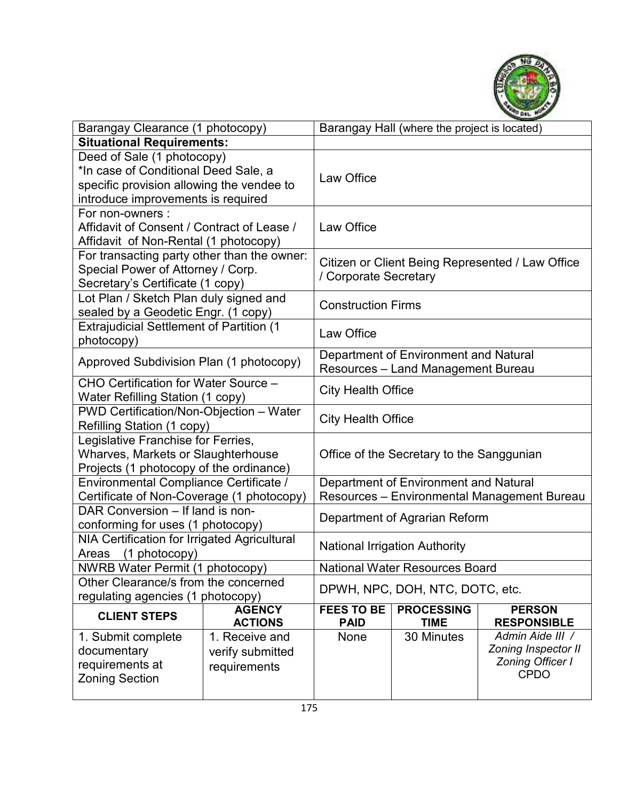

| Barangay Clearance (1 photocopy)                                                                                                                      |                                                    |                                                                                      | Barangay Hall (where the project is located) |                                                                                   |  |
|-------------------------------------------------------------------------------------------------------------------------------------------------------|----------------------------------------------------|--------------------------------------------------------------------------------------|----------------------------------------------|-----------------------------------------------------------------------------------|--|
| <b>Situational Requirements:</b>                                                                                                                      |                                                    |                                                                                      |                                              |                                                                                   |  |
| Deed of Sale (1 photocopy)<br>*In case of Conditional Deed Sale, a<br>specific provision allowing the vendee to<br>introduce improvements is required |                                                    | Law Office                                                                           |                                              |                                                                                   |  |
| For non-owners:<br>Affidavit of Consent / Contract of Lease /<br>Affidavit of Non-Rental (1 photocopy)                                                |                                                    | Law Office                                                                           |                                              |                                                                                   |  |
| For transacting party other than the owner:<br>Special Power of Attorney / Corp.<br>Secretary's Certificate (1 copy)                                  |                                                    | Citizen or Client Being Represented / Law Office<br>/ Corporate Secretary            |                                              |                                                                                   |  |
| Lot Plan / Sketch Plan duly signed and<br>sealed by a Geodetic Engr. (1 copy)                                                                         |                                                    | <b>Construction Firms</b>                                                            |                                              |                                                                                   |  |
| <b>Extrajudicial Settlement of Partition (1</b><br>photocopy)                                                                                         |                                                    | Law Office                                                                           |                                              |                                                                                   |  |
| Approved Subdivision Plan (1 photocopy)                                                                                                               |                                                    | Department of Environment and Natural<br>Resources - Land Management Bureau          |                                              |                                                                                   |  |
| CHO Certification for Water Source -<br>Water Refilling Station (1 copy)                                                                              |                                                    | <b>City Health Office</b>                                                            |                                              |                                                                                   |  |
| PWD Certification/Non-Objection - Water<br>Refilling Station (1 copy)                                                                                 |                                                    | <b>City Health Office</b>                                                            |                                              |                                                                                   |  |
| Legislative Franchise for Ferries,<br>Wharves, Markets or Slaughterhouse<br>Projects (1 photocopy of the ordinance)                                   |                                                    |                                                                                      | Office of the Secretary to the Sanggunian    |                                                                                   |  |
| Environmental Compliance Certificate /<br>Certificate of Non-Coverage (1 photocopy)                                                                   |                                                    | Department of Environment and Natural<br>Resources - Environmental Management Bureau |                                              |                                                                                   |  |
| DAR Conversion - If land is non-<br>conforming for uses (1 photocopy)                                                                                 |                                                    | Department of Agrarian Reform                                                        |                                              |                                                                                   |  |
| NIA Certification for Irrigated Agricultural<br>(1 photocopy)<br>Areas                                                                                |                                                    | <b>National Irrigation Authority</b>                                                 |                                              |                                                                                   |  |
| <b>NWRB Water Permit (1 photocopy)</b>                                                                                                                |                                                    | <b>National Water Resources Board</b>                                                |                                              |                                                                                   |  |
| Other Clearance/s from the concerned<br>regulating agencies (1 photocopy)                                                                             |                                                    | DPWH, NPC, DOH, NTC, DOTC, etc.                                                      |                                              |                                                                                   |  |
| <b>CLIENT STEPS</b>                                                                                                                                   | <b>AGENCY</b><br><b>ACTIONS</b>                    | <b>FEES TO BE</b><br><b>PAID</b>                                                     | <b>PROCESSING</b><br><b>TIME</b>             | <b>PERSON</b><br><b>RESPONSIBLE</b>                                               |  |
| 1. Submit complete<br>documentary<br>requirements at<br><b>Zoning Section</b>                                                                         | 1. Receive and<br>verify submitted<br>requirements | None                                                                                 | 30 Minutes                                   | Admin Aide III /<br>Zoning Inspector II<br><b>Zoning Officer I</b><br><b>CPDO</b> |  |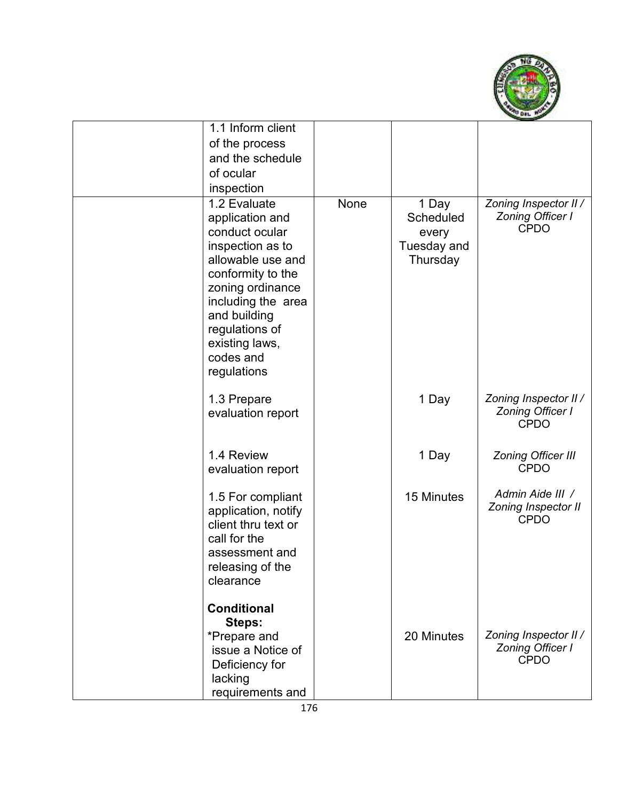

| 1.1 Inform client                                                                                                                                                                                                                         |      |                                                        |                                                                 |
|-------------------------------------------------------------------------------------------------------------------------------------------------------------------------------------------------------------------------------------------|------|--------------------------------------------------------|-----------------------------------------------------------------|
| of the process                                                                                                                                                                                                                            |      |                                                        |                                                                 |
| and the schedule                                                                                                                                                                                                                          |      |                                                        |                                                                 |
| of ocular                                                                                                                                                                                                                                 |      |                                                        |                                                                 |
| inspection                                                                                                                                                                                                                                |      |                                                        |                                                                 |
| 1.2 Evaluate<br>application and<br>conduct ocular<br>inspection as to<br>allowable use and<br>conformity to the<br>zoning ordinance<br>including the area<br>and building<br>regulations of<br>existing laws,<br>codes and<br>regulations | None | 1 Day<br>Scheduled<br>every<br>Tuesday and<br>Thursday | Zoning Inspector II /<br><b>Zoning Officer I</b><br><b>CPDO</b> |
| 1.3 Prepare<br>evaluation report                                                                                                                                                                                                          |      | 1 Day                                                  | Zoning Inspector II /<br>Zoning Officer I<br><b>CPDO</b>        |
| 1.4 Review<br>evaluation report                                                                                                                                                                                                           |      | 1 Day                                                  | <b>Zoning Officer III</b><br><b>CPDO</b>                        |
| 1.5 For compliant<br>application, notify<br>client thru text or<br>call for the<br>assessment and<br>releasing of the<br>clearance                                                                                                        |      | 15 Minutes                                             | Admin Aide III /<br>Zoning Inspector II<br><b>CPDO</b>          |
| <b>Conditional</b><br>Steps:<br>*Prepare and<br>issue a Notice of<br>Deficiency for<br>lacking<br>requirements and                                                                                                                        |      | 20 Minutes                                             | Zoning Inspector II /<br><b>Zoning Officer I</b><br><b>CPDO</b> |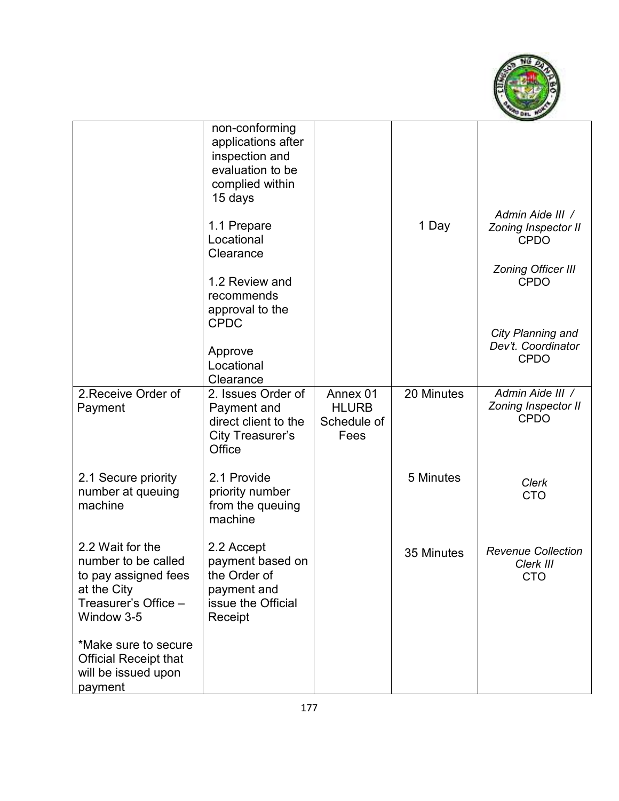

|                                                                                                                      | non-conforming<br>applications after<br>inspection and<br>evaluation to be<br>complied within<br>15 days |                                                 |            |                                                        |
|----------------------------------------------------------------------------------------------------------------------|----------------------------------------------------------------------------------------------------------|-------------------------------------------------|------------|--------------------------------------------------------|
|                                                                                                                      | 1.1 Prepare<br>Locational<br>Clearance                                                                   |                                                 | 1 Day      | Admin Aide III /<br>Zoning Inspector II<br><b>CPDO</b> |
|                                                                                                                      | 1.2 Review and<br>recommends<br>approval to the                                                          |                                                 |            | <b>Zoning Officer III</b><br><b>CPDO</b>               |
|                                                                                                                      | <b>CPDC</b><br>Approve<br>Locational<br>Clearance                                                        |                                                 |            | City Planning and<br>Dev't. Coordinator<br><b>CPDO</b> |
| 2. Receive Order of<br>Payment                                                                                       | 2. Issues Order of<br>Payment and<br>direct client to the<br><b>City Treasurer's</b><br>Office           | Annex 01<br><b>HLURB</b><br>Schedule of<br>Fees | 20 Minutes | Admin Aide III /<br>Zoning Inspector II<br><b>CPDO</b> |
| 2.1 Secure priority<br>number at queuing<br>machine                                                                  | 2.1 Provide<br>priority number<br>from the queuing<br>machine                                            |                                                 | 5 Minutes  | Clerk<br><b>CTO</b>                                    |
| 2.2 Wait for the<br>number to be called<br>to pay assigned fees<br>at the City<br>Treasurer's Office -<br>Window 3-5 | 2.2 Accept<br>payment based on<br>the Order of<br>payment and<br>issue the Official<br>Receipt           |                                                 | 35 Minutes | <b>Revenue Collection</b><br>Clerk III<br>CTO          |
| *Make sure to secure<br><b>Official Receipt that</b><br>will be issued upon<br>payment                               |                                                                                                          |                                                 |            |                                                        |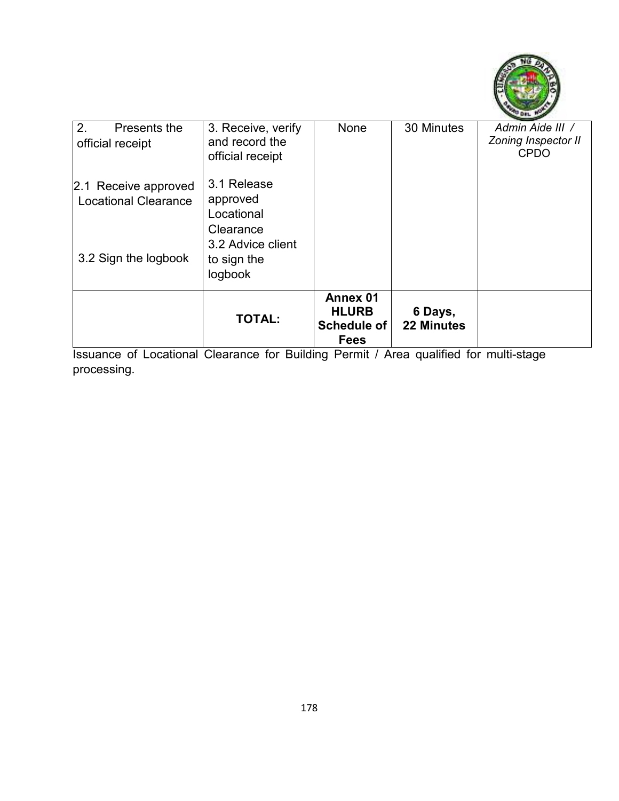

| 2.<br>Presents the<br>official receipt                                      | 3. Receive, verify<br>and record the<br>official receipt                               | None                                                          | 30 Minutes                   | Admin Aide III /<br><b>Zoning Inspector II</b><br><b>CPDO</b> |
|-----------------------------------------------------------------------------|----------------------------------------------------------------------------------------|---------------------------------------------------------------|------------------------------|---------------------------------------------------------------|
| 2.1 Receive approved<br><b>Locational Clearance</b><br>3.2 Sign the logbook | 3.1 Release<br>approved<br>Locational<br>Clearance<br>3.2 Advice client<br>to sign the |                                                               |                              |                                                               |
|                                                                             | logbook                                                                                |                                                               |                              |                                                               |
|                                                                             | <b>TOTAL:</b>                                                                          | Annex 01<br><b>HLURB</b><br><b>Schedule of</b><br><b>Fees</b> | 6 Days,<br><b>22 Minutes</b> |                                                               |

Issuance of Locational Clearance for Building Permit / Area qualified for multi-stage processing.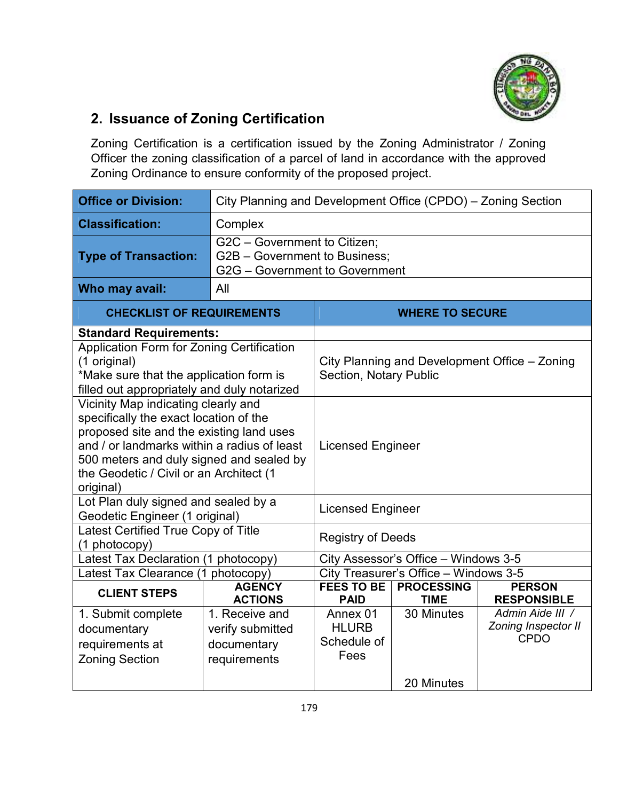

## **2. Issuance of Zoning Certification**

Zoning Certification is a certification issued by the Zoning Administrator / Zoning Officer the zoning classification of a parcel of land in accordance with the approved Zoning Ordinance to ensure conformity of the proposed project.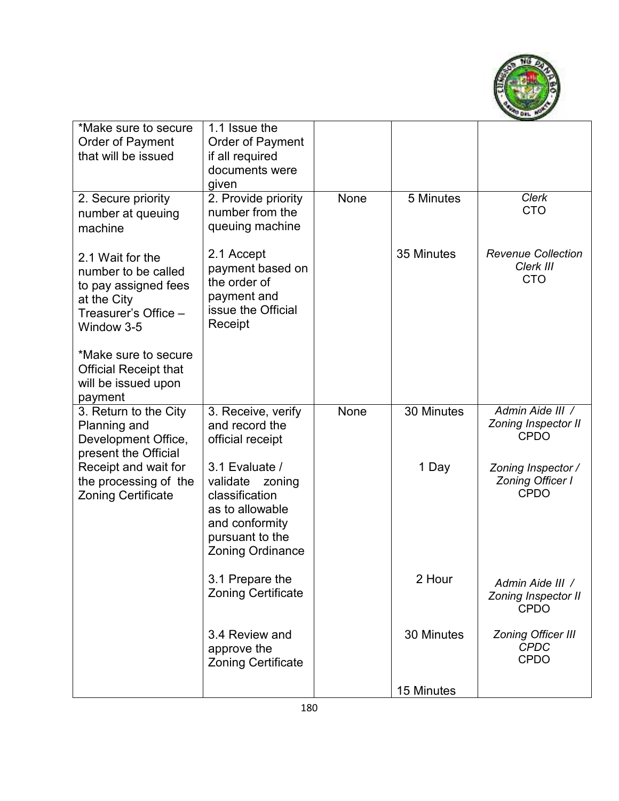

| *Make sure to secure<br>Order of Payment<br>that will be issued                                                      | 1.1 Issue the<br>Order of Payment<br>if all required<br>documents were<br>given                                                           |             |            |                                                              |
|----------------------------------------------------------------------------------------------------------------------|-------------------------------------------------------------------------------------------------------------------------------------------|-------------|------------|--------------------------------------------------------------|
| 2. Secure priority<br>number at queuing<br>machine                                                                   | 2. Provide priority<br>number from the<br>queuing machine                                                                                 | <b>None</b> | 5 Minutes  | <b>Clerk</b><br><b>CTO</b>                                   |
| 2.1 Wait for the<br>number to be called<br>to pay assigned fees<br>at the City<br>Treasurer's Office -<br>Window 3-5 | 2.1 Accept<br>payment based on<br>the order of<br>payment and<br>issue the Official<br>Receipt                                            |             | 35 Minutes | <b>Revenue Collection</b><br>Clerk III<br><b>CTO</b>         |
| *Make sure to secure<br><b>Official Receipt that</b><br>will be issued upon<br>payment                               |                                                                                                                                           |             |            |                                                              |
| 3. Return to the City<br>Planning and<br>Development Office,<br>present the Official                                 | 3. Receive, verify<br>and record the<br>official receipt                                                                                  | None        | 30 Minutes | Admin Aide III /<br>Zoning Inspector II<br><b>CPDO</b>       |
| Receipt and wait for<br>the processing of the<br><b>Zoning Certificate</b>                                           | 3.1 Evaluate /<br>validate<br>zoning<br>classification<br>as to allowable<br>and conformity<br>pursuant to the<br><b>Zoning Ordinance</b> |             | 1 Day      | Zoning Inspector /<br><b>Zoning Officer I</b><br><b>CPDO</b> |
|                                                                                                                      | 3.1 Prepare the<br><b>Zoning Certificate</b>                                                                                              |             | 2 Hour     | Admin Aide III /<br>Zoning Inspector II<br><b>CPDO</b>       |
|                                                                                                                      | 3.4 Review and<br>approve the<br><b>Zoning Certificate</b>                                                                                |             | 30 Minutes | <b>Zoning Officer III</b><br><b>CPDC</b><br><b>CPDO</b>      |
|                                                                                                                      |                                                                                                                                           |             | 15 Minutes |                                                              |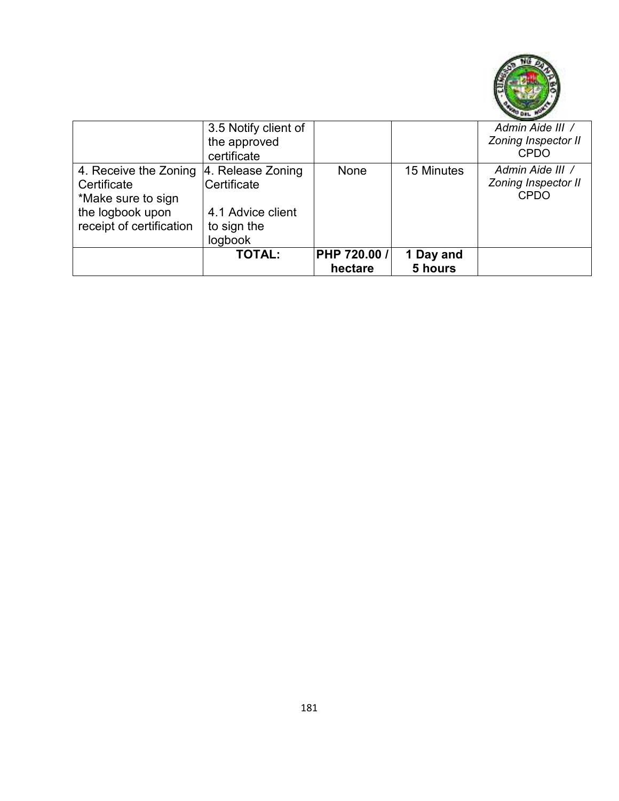

|                                                                                                            | 3.5 Notify client of<br>the approved<br>certificate                             |                         |                      | Admin Aide III /<br><b>Zoning Inspector II</b><br><b>CPDO</b> |
|------------------------------------------------------------------------------------------------------------|---------------------------------------------------------------------------------|-------------------------|----------------------|---------------------------------------------------------------|
| 4. Receive the Zoning<br>Certificate<br>*Make sure to sign<br>the logbook upon<br>receipt of certification | 4. Release Zoning<br>Certificate<br>4.1 Advice client<br>to sign the<br>logbook | None                    | 15 Minutes           | Admin Aide III /<br>Zoning Inspector II<br><b>CPDO</b>        |
|                                                                                                            | <b>TOTAL:</b>                                                                   | PHP 720.00 /<br>hectare | 1 Day and<br>5 hours |                                                               |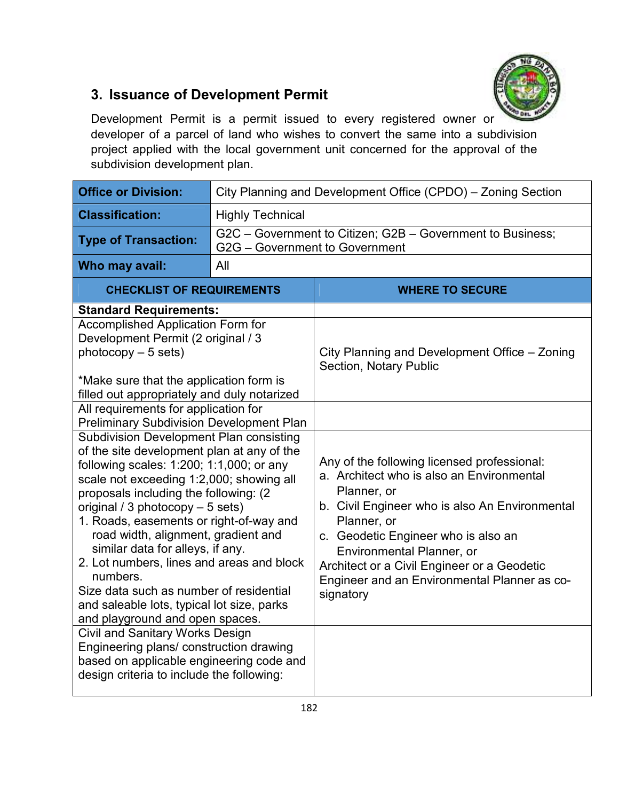

### **3. Issuance of Development Permit**

Development Permit is a permit issued to every registered owner or developer of a parcel of land who wishes to convert the same into a subdivision project applied with the local government unit concerned for the approval of the subdivision development plan.

| <b>Office or Division:</b>                                                                                                                                                                                                                                                                                                                                                                                                                                                                                                                                                                                                       |                                | City Planning and Development Office (CPDO) - Zoning Section                                                                                                                                                                                                                                                                                             |  |  |  |
|----------------------------------------------------------------------------------------------------------------------------------------------------------------------------------------------------------------------------------------------------------------------------------------------------------------------------------------------------------------------------------------------------------------------------------------------------------------------------------------------------------------------------------------------------------------------------------------------------------------------------------|--------------------------------|----------------------------------------------------------------------------------------------------------------------------------------------------------------------------------------------------------------------------------------------------------------------------------------------------------------------------------------------------------|--|--|--|
| <b>Classification:</b>                                                                                                                                                                                                                                                                                                                                                                                                                                                                                                                                                                                                           | <b>Highly Technical</b>        |                                                                                                                                                                                                                                                                                                                                                          |  |  |  |
| <b>Type of Transaction:</b>                                                                                                                                                                                                                                                                                                                                                                                                                                                                                                                                                                                                      | G2G - Government to Government | G2C - Government to Citizen; G2B - Government to Business;                                                                                                                                                                                                                                                                                               |  |  |  |
| Who may avail:                                                                                                                                                                                                                                                                                                                                                                                                                                                                                                                                                                                                                   | All                            |                                                                                                                                                                                                                                                                                                                                                          |  |  |  |
| <b>CHECKLIST OF REQUIREMENTS</b>                                                                                                                                                                                                                                                                                                                                                                                                                                                                                                                                                                                                 |                                | <b>WHERE TO SECURE</b>                                                                                                                                                                                                                                                                                                                                   |  |  |  |
| <b>Standard Requirements:</b>                                                                                                                                                                                                                                                                                                                                                                                                                                                                                                                                                                                                    |                                |                                                                                                                                                                                                                                                                                                                                                          |  |  |  |
| <b>Accomplished Application Form for</b><br>Development Permit (2 original / 3<br>$photocopy - 5 sets)$<br>*Make sure that the application form is<br>filled out appropriately and duly notarized                                                                                                                                                                                                                                                                                                                                                                                                                                |                                | City Planning and Development Office - Zoning<br>Section, Notary Public                                                                                                                                                                                                                                                                                  |  |  |  |
| All requirements for application for                                                                                                                                                                                                                                                                                                                                                                                                                                                                                                                                                                                             |                                |                                                                                                                                                                                                                                                                                                                                                          |  |  |  |
| <b>Preliminary Subdivision Development Plan</b><br><b>Subdivision Development Plan consisting</b><br>of the site development plan at any of the<br>following scales: 1:200; 1:1,000; or any<br>scale not exceeding 1:2,000; showing all<br>proposals including the following: (2)<br>original / 3 photocopy - 5 sets)<br>1. Roads, easements or right-of-way and<br>road width, alignment, gradient and<br>similar data for alleys, if any.<br>2. Lot numbers, lines and areas and block<br>numbers.<br>Size data such as number of residential<br>and saleable lots, typical lot size, parks<br>and playground and open spaces. |                                | Any of the following licensed professional:<br>a. Architect who is also an Environmental<br>Planner, or<br>b. Civil Engineer who is also An Environmental<br>Planner, or<br>c. Geodetic Engineer who is also an<br>Environmental Planner, or<br>Architect or a Civil Engineer or a Geodetic<br>Engineer and an Environmental Planner as co-<br>signatory |  |  |  |
| <b>Civil and Sanitary Works Design</b><br>Engineering plans/ construction drawing<br>based on applicable engineering code and<br>design criteria to include the following:                                                                                                                                                                                                                                                                                                                                                                                                                                                       |                                |                                                                                                                                                                                                                                                                                                                                                          |  |  |  |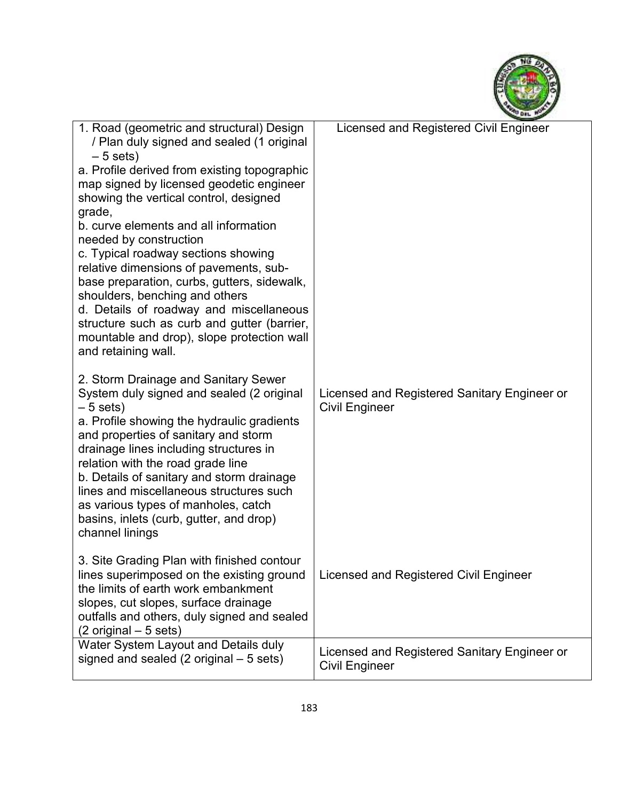

| 1. Road (geometric and structural) Design<br>/ Plan duly signed and sealed (1 original<br>$-5$ sets)<br>a. Profile derived from existing topographic<br>map signed by licensed geodetic engineer<br>showing the vertical control, designed<br>grade,<br>b. curve elements and all information<br>needed by construction<br>c. Typical roadway sections showing<br>relative dimensions of pavements, sub-<br>base preparation, curbs, gutters, sidewalk,<br>shoulders, benching and others<br>d. Details of roadway and miscellaneous<br>structure such as curb and gutter (barrier,<br>mountable and drop), slope protection wall<br>and retaining wall. | Licensed and Registered Civil Engineer                                |
|----------------------------------------------------------------------------------------------------------------------------------------------------------------------------------------------------------------------------------------------------------------------------------------------------------------------------------------------------------------------------------------------------------------------------------------------------------------------------------------------------------------------------------------------------------------------------------------------------------------------------------------------------------|-----------------------------------------------------------------------|
| 2. Storm Drainage and Sanitary Sewer<br>System duly signed and sealed (2 original<br>$-5$ sets)<br>a. Profile showing the hydraulic gradients<br>and properties of sanitary and storm<br>drainage lines including structures in<br>relation with the road grade line<br>b. Details of sanitary and storm drainage<br>lines and miscellaneous structures such<br>as various types of manholes, catch<br>basins, inlets (curb, gutter, and drop)<br>channel linings                                                                                                                                                                                        | Licensed and Registered Sanitary Engineer or<br><b>Civil Engineer</b> |
| 3. Site Grading Plan with finished contour<br>lines superimposed on the existing ground<br>the limits of earth work embankment<br>slopes, cut slopes, surface drainage<br>outfalls and others, duly signed and sealed<br>$(2 \text{ original} - 5 \text{ sets})$                                                                                                                                                                                                                                                                                                                                                                                         | Licensed and Registered Civil Engineer                                |
| Water System Layout and Details duly<br>signed and sealed $(2 \text{ original} - 5 \text{ sets})$                                                                                                                                                                                                                                                                                                                                                                                                                                                                                                                                                        | Licensed and Registered Sanitary Engineer or<br><b>Civil Engineer</b> |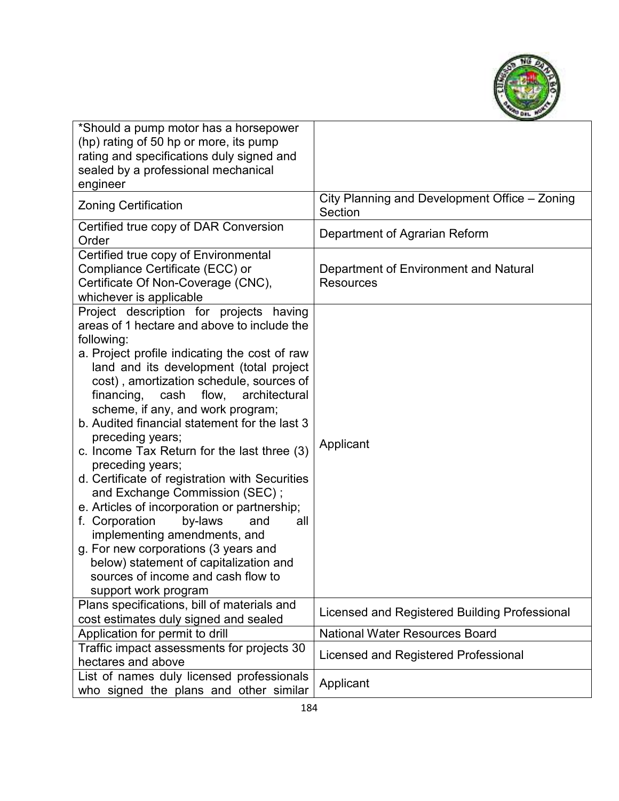

| *Should a pump motor has a horsepower<br>(hp) rating of 50 hp or more, its pump<br>rating and specifications duly signed and<br>sealed by a professional mechanical<br>engineer                                                                                                                                                                                                                                                                                                                                                                                                                                                                                                                                                                                                                                                          |                                                           |
|------------------------------------------------------------------------------------------------------------------------------------------------------------------------------------------------------------------------------------------------------------------------------------------------------------------------------------------------------------------------------------------------------------------------------------------------------------------------------------------------------------------------------------------------------------------------------------------------------------------------------------------------------------------------------------------------------------------------------------------------------------------------------------------------------------------------------------------|-----------------------------------------------------------|
| <b>Zoning Certification</b>                                                                                                                                                                                                                                                                                                                                                                                                                                                                                                                                                                                                                                                                                                                                                                                                              | City Planning and Development Office - Zoning<br>Section  |
| Certified true copy of DAR Conversion<br>Order                                                                                                                                                                                                                                                                                                                                                                                                                                                                                                                                                                                                                                                                                                                                                                                           | Department of Agrarian Reform                             |
| Certified true copy of Environmental<br>Compliance Certificate (ECC) or<br>Certificate Of Non-Coverage (CNC),<br>whichever is applicable                                                                                                                                                                                                                                                                                                                                                                                                                                                                                                                                                                                                                                                                                                 | Department of Environment and Natural<br><b>Resources</b> |
| Project description for projects having<br>areas of 1 hectare and above to include the<br>following:<br>a. Project profile indicating the cost of raw<br>land and its development (total project<br>cost), amortization schedule, sources of<br>financing,<br>cash<br>flow,<br>architectural<br>scheme, if any, and work program;<br>b. Audited financial statement for the last 3<br>preceding years;<br>c. Income Tax Return for the last three (3)<br>preceding years;<br>d. Certificate of registration with Securities<br>and Exchange Commission (SEC);<br>e. Articles of incorporation or partnership;<br>f. Corporation<br>by-laws<br>and<br>all<br>implementing amendments, and<br>g. For new corporations (3 years and<br>below) statement of capitalization and<br>sources of income and cash flow to<br>support work program | Applicant                                                 |
| Plans specifications, bill of materials and<br>cost estimates duly signed and sealed                                                                                                                                                                                                                                                                                                                                                                                                                                                                                                                                                                                                                                                                                                                                                     | Licensed and Registered Building Professional             |
| Application for permit to drill                                                                                                                                                                                                                                                                                                                                                                                                                                                                                                                                                                                                                                                                                                                                                                                                          | <b>National Water Resources Board</b>                     |
| Traffic impact assessments for projects 30<br>hectares and above                                                                                                                                                                                                                                                                                                                                                                                                                                                                                                                                                                                                                                                                                                                                                                         | Licensed and Registered Professional                      |
| List of names duly licensed professionals<br>who signed the plans and other similar                                                                                                                                                                                                                                                                                                                                                                                                                                                                                                                                                                                                                                                                                                                                                      | Applicant                                                 |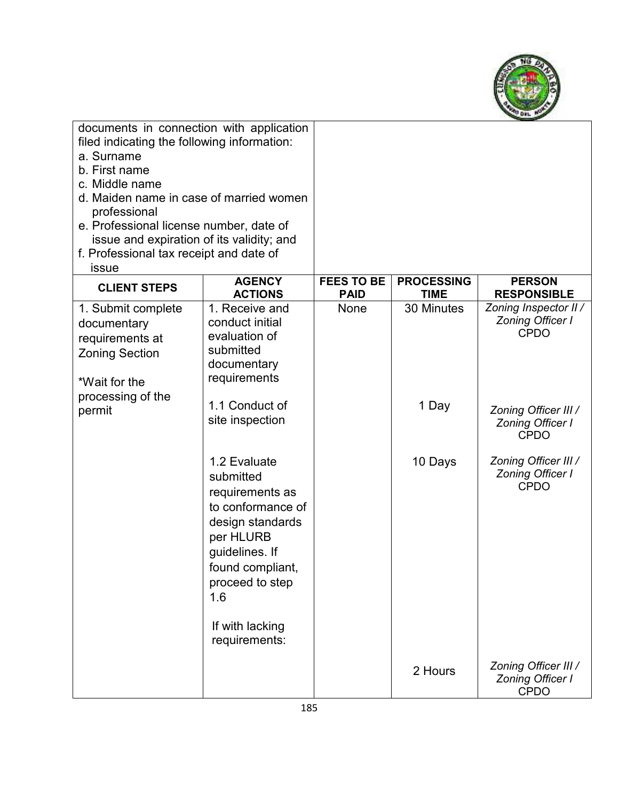

| documents in connection with application<br>filed indicating the following information:<br>a. Surname<br>b. First name<br>c. Middle name<br>d. Maiden name in case of married women<br>professional<br>e. Professional license number, date of<br>issue and expiration of its validity; and<br>f. Professional tax receipt and date of<br>issue |                                                                                                                                                                                                        |                                  |                                  |                                                                 |
|-------------------------------------------------------------------------------------------------------------------------------------------------------------------------------------------------------------------------------------------------------------------------------------------------------------------------------------------------|--------------------------------------------------------------------------------------------------------------------------------------------------------------------------------------------------------|----------------------------------|----------------------------------|-----------------------------------------------------------------|
| <b>CLIENT STEPS</b>                                                                                                                                                                                                                                                                                                                             | <b>AGENCY</b><br><b>ACTIONS</b>                                                                                                                                                                        | <b>FEES TO BE</b><br><b>PAID</b> | <b>PROCESSING</b><br><b>TIME</b> | <b>PERSON</b><br><b>RESPONSIBLE</b>                             |
| 1. Submit complete<br>documentary<br>requirements at<br><b>Zoning Section</b><br>*Wait for the                                                                                                                                                                                                                                                  | 1. Receive and<br>conduct initial<br>evaluation of<br>submitted<br>documentary<br>requirements                                                                                                         | None                             | 30 Minutes                       | Zoning Inspector II /<br><b>Zoning Officer I</b><br><b>CPDO</b> |
| processing of the<br>permit                                                                                                                                                                                                                                                                                                                     | 1.1 Conduct of<br>site inspection                                                                                                                                                                      |                                  | 1 Day                            | Zoning Officer III /<br><b>Zoning Officer I</b><br><b>CPDO</b>  |
|                                                                                                                                                                                                                                                                                                                                                 | 1.2 Evaluate<br>submitted<br>requirements as<br>to conformance of<br>design standards<br>per HLURB<br>guidelines. If<br>found compliant,<br>proceed to step<br>1.6<br>If with lacking<br>requirements: |                                  | 10 Days                          | Zoning Officer III /<br><b>Zoning Officer I</b><br><b>CPDO</b>  |
|                                                                                                                                                                                                                                                                                                                                                 |                                                                                                                                                                                                        |                                  | 2 Hours                          | Zoning Officer III /<br>Zoning Officer I<br><b>CPDO</b>         |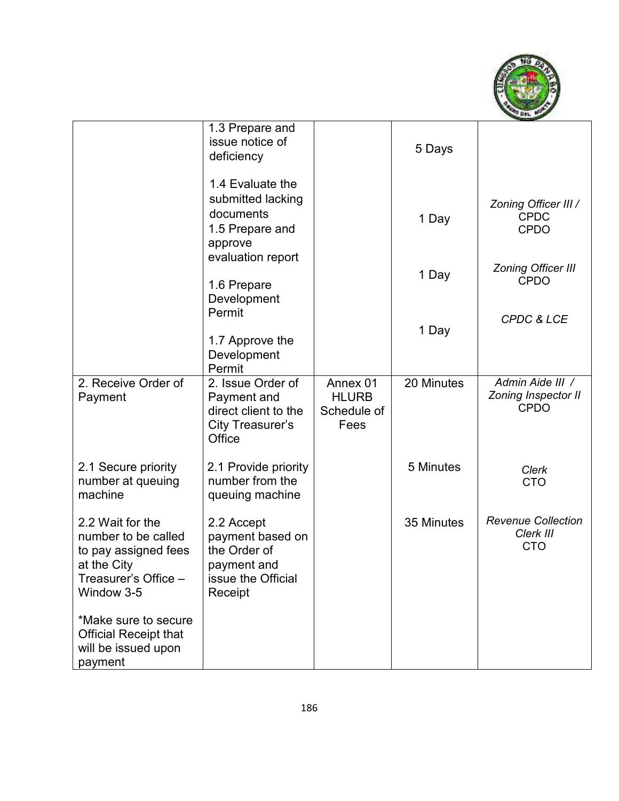

|                                                                                                                      | 1.3 Prepare and<br>issue notice of<br>deficiency                                                      |                                                 | 5 Days     |                                                        |
|----------------------------------------------------------------------------------------------------------------------|-------------------------------------------------------------------------------------------------------|-------------------------------------------------|------------|--------------------------------------------------------|
|                                                                                                                      | 1.4 Evaluate the<br>submitted lacking<br>documents<br>1.5 Prepare and<br>approve<br>evaluation report |                                                 | 1 Day      | Zoning Officer III /<br><b>CPDC</b><br><b>CPDO</b>     |
|                                                                                                                      | 1.6 Prepare<br>Development                                                                            |                                                 | 1 Day      | <b>Zoning Officer III</b><br><b>CPDO</b>               |
|                                                                                                                      | Permit<br>1.7 Approve the<br>Development<br>Permit                                                    |                                                 | 1 Day      | <b>CPDC &amp; LCE</b>                                  |
| 2. Receive Order of<br>Payment                                                                                       | 2. Issue Order of<br>Payment and<br>direct client to the<br>City Treasurer's<br>Office                | Annex 01<br><b>HLURB</b><br>Schedule of<br>Fees | 20 Minutes | Admin Aide III /<br>Zoning Inspector II<br><b>CPDO</b> |
| 2.1 Secure priority<br>number at queuing<br>machine                                                                  | 2.1 Provide priority<br>number from the<br>queuing machine                                            |                                                 | 5 Minutes  | <b>Clerk</b><br><b>CTO</b>                             |
| 2.2 Wait for the<br>number to be called<br>to pay assigned fees<br>at the City<br>Treasurer's Office -<br>Window 3-5 | 2.2 Accept<br>payment based on<br>the Order of<br>payment and<br>issue the Official<br>Receipt        |                                                 | 35 Minutes | <b>Revenue Collection</b><br>Clerk III<br><b>CTO</b>   |
| *Make sure to secure<br><b>Official Receipt that</b><br>will be issued upon<br>payment                               |                                                                                                       |                                                 |            |                                                        |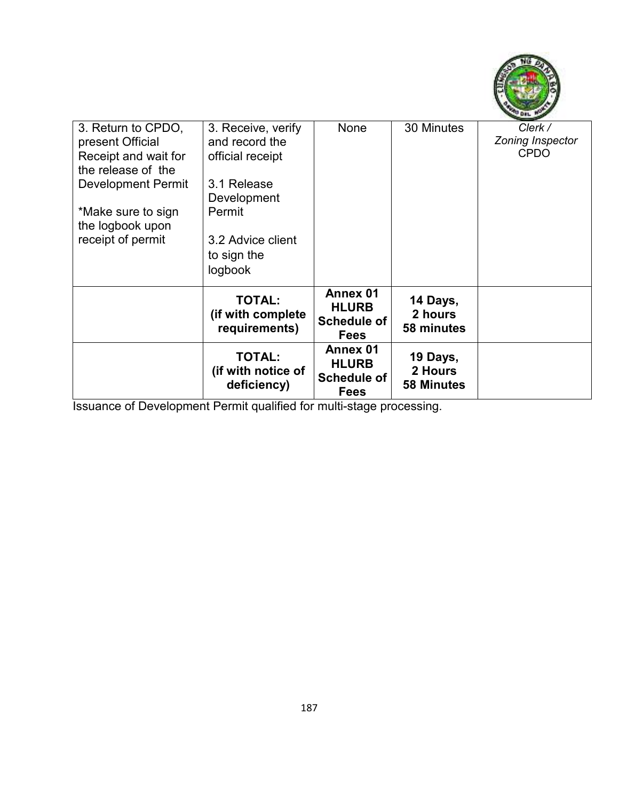

| 3. Return to CPDO.        | 3. Receive, verify | None               | 30 Minutes        | Clerk /          |
|---------------------------|--------------------|--------------------|-------------------|------------------|
| present Official          | and record the     |                    |                   | Zoning Inspector |
| Receipt and wait for      | official receipt   |                    |                   | <b>CPDO</b>      |
| the release of the        |                    |                    |                   |                  |
| <b>Development Permit</b> | 3.1 Release        |                    |                   |                  |
|                           | Development        |                    |                   |                  |
| *Make sure to sign        | Permit             |                    |                   |                  |
| the logbook upon          |                    |                    |                   |                  |
| receipt of permit         | 3.2 Advice client  |                    |                   |                  |
|                           | to sign the        |                    |                   |                  |
|                           |                    |                    |                   |                  |
|                           | logbook            |                    |                   |                  |
|                           | <b>TOTAL:</b>      | Annex 01           | 14 Days,          |                  |
|                           | (if with complete  | <b>HLURB</b>       | 2 hours           |                  |
|                           | requirements)      | <b>Schedule of</b> | 58 minutes        |                  |
|                           |                    | <b>Fees</b>        |                   |                  |
|                           | <b>TOTAL:</b>      | Annex 01           | 19 Days,          |                  |
|                           |                    | <b>HLURB</b>       | 2 Hours           |                  |
|                           | (if with notice of | <b>Schedule of</b> |                   |                  |
|                           | deficiency)        | <b>Fees</b>        | <b>58 Minutes</b> |                  |

Issuance of Development Permit qualified for multi-stage processing.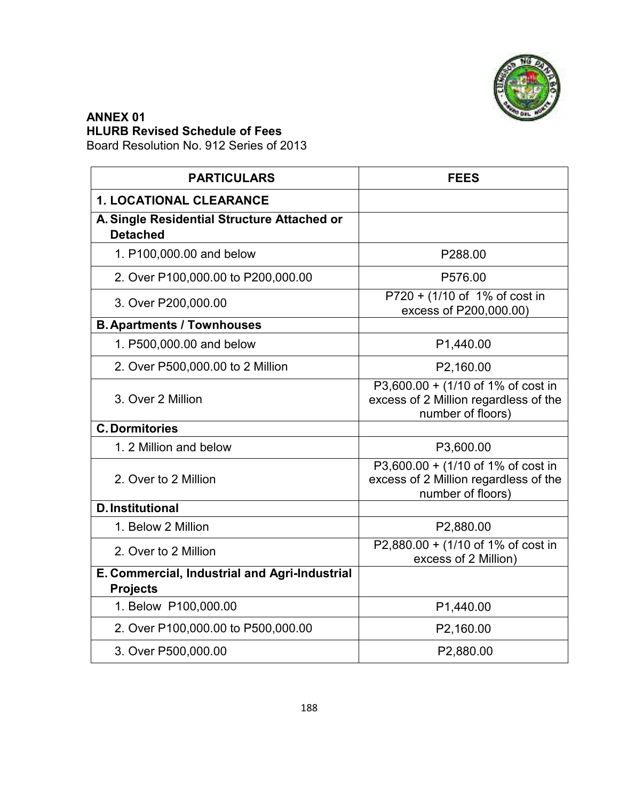

#### **ANNEX 01 HLURB Revised Schedule of Fees**

Board Resolution No. 912 Series of 2013

| <b>PARTICULARS</b>                                             | <b>FEES</b>                                                                                      |  |
|----------------------------------------------------------------|--------------------------------------------------------------------------------------------------|--|
| <b>1. LOCATIONAL CLEARANCE</b>                                 |                                                                                                  |  |
| A. Single Residential Structure Attached or<br><b>Detached</b> |                                                                                                  |  |
| 1. P100,000.00 and below                                       | P288.00                                                                                          |  |
| 2. Over P100,000.00 to P200,000.00                             | P576.00                                                                                          |  |
| 3. Over P200,000.00                                            | P720 + (1/10 of 1% of cost in<br>excess of P200,000.00)                                          |  |
| <b>B. Apartments / Townhouses</b>                              |                                                                                                  |  |
| 1. P500,000.00 and below                                       | P1,440.00                                                                                        |  |
| 2. Over P500,000.00 to 2 Million                               | P2,160.00                                                                                        |  |
| 3. Over 2 Million                                              | P3,600.00 + (1/10 of 1% of cost in<br>excess of 2 Million regardless of the<br>number of floors) |  |
| <b>C. Dormitories</b>                                          |                                                                                                  |  |
| 1. 2 Million and below                                         | P3,600.00                                                                                        |  |
| 2. Over to 2 Million                                           | P3,600.00 + (1/10 of 1% of cost in<br>excess of 2 Million regardless of the<br>number of floors) |  |
| <b>D.Institutional</b>                                         |                                                                                                  |  |
| 1. Below 2 Million                                             | P2,880.00                                                                                        |  |
| 2. Over to 2 Million                                           | P2,880.00 + (1/10 of 1% of cost in<br>excess of 2 Million)                                       |  |
| E. Commercial, Industrial and Agri-Industrial                  |                                                                                                  |  |
| <b>Projects</b>                                                |                                                                                                  |  |
| 1. Below P100,000.00                                           | P1,440.00                                                                                        |  |
| 2. Over P100,000.00 to P500,000.00                             | P2,160.00                                                                                        |  |
| 3. Over P500,000.00                                            | P2,880.00                                                                                        |  |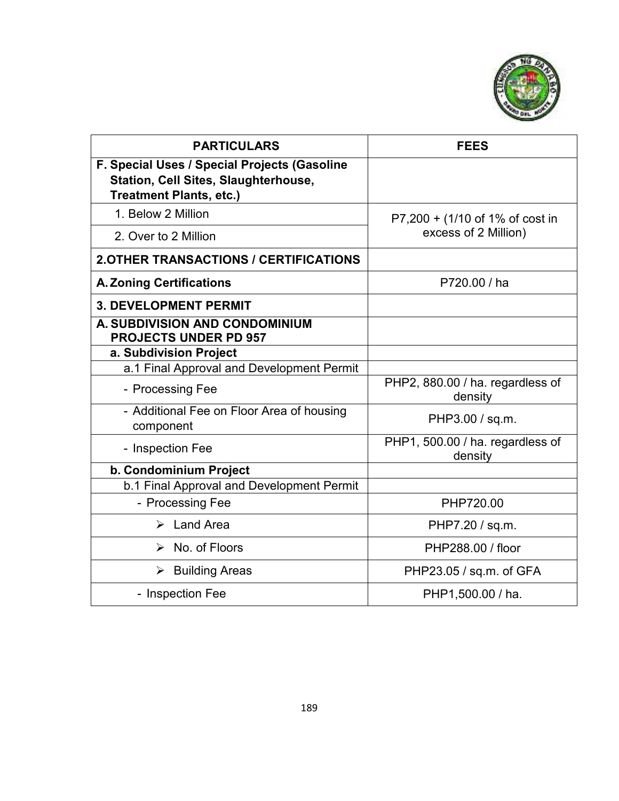

| <b>PARTICULARS</b>                                                                                                            | <b>FEES</b>                                             |  |
|-------------------------------------------------------------------------------------------------------------------------------|---------------------------------------------------------|--|
| F. Special Uses / Special Projects (Gasoline<br><b>Station, Cell Sites, Slaughterhouse,</b><br><b>Treatment Plants, etc.)</b> |                                                         |  |
| 1. Below 2 Million                                                                                                            | P7,200 + (1/10 of 1% of cost in<br>excess of 2 Million) |  |
| 2. Over to 2 Million                                                                                                          |                                                         |  |
| <b>2.OTHER TRANSACTIONS / CERTIFICATIONS</b>                                                                                  |                                                         |  |
| <b>A. Zoning Certifications</b>                                                                                               | P720.00 / ha                                            |  |
| <b>3. DEVELOPMENT PERMIT</b>                                                                                                  |                                                         |  |
| A. SUBDIVISION AND CONDOMINIUM<br><b>PROJECTS UNDER PD 957</b>                                                                |                                                         |  |
| a. Subdivision Project                                                                                                        |                                                         |  |
| a.1 Final Approval and Development Permit                                                                                     |                                                         |  |
| - Processing Fee                                                                                                              | PHP2, 880.00 / ha. regardless of<br>density             |  |
| - Additional Fee on Floor Area of housing<br>component                                                                        | PHP3.00 / sq.m.                                         |  |
| - Inspection Fee                                                                                                              | PHP1, 500.00 / ha. regardless of<br>density             |  |
| b. Condominium Project                                                                                                        |                                                         |  |
| b.1 Final Approval and Development Permit                                                                                     |                                                         |  |
| - Processing Fee                                                                                                              | PHP720.00                                               |  |
| $\triangleright$ Land Area                                                                                                    | PHP7.20 / sq.m.                                         |  |
| $\triangleright$ No. of Floors                                                                                                | PHP288.00 / floor                                       |  |
| <b>Building Areas</b><br>➤                                                                                                    | PHP23.05 / sq.m. of GFA                                 |  |
| - Inspection Fee                                                                                                              | PHP1,500.00 / ha.                                       |  |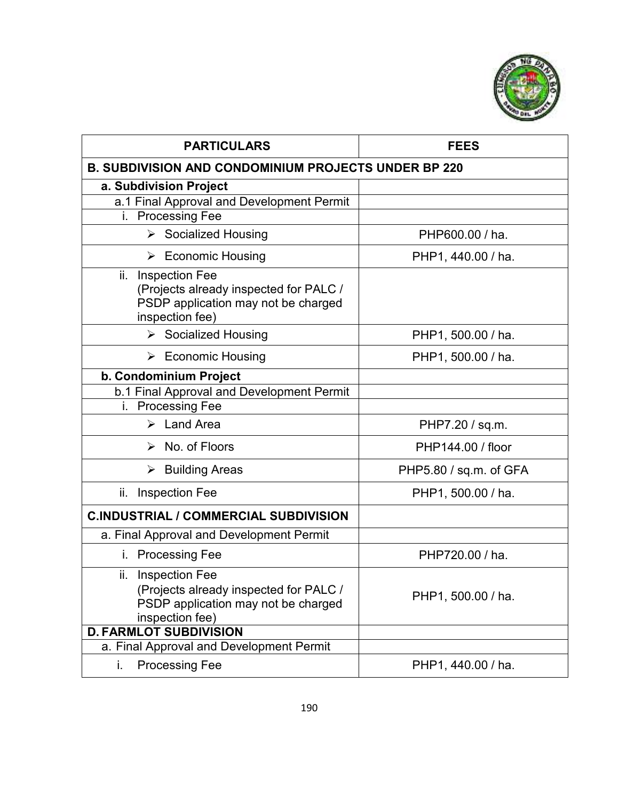

| <b>PARTICULARS</b>                                                                                                               | <b>FEES</b>            |  |
|----------------------------------------------------------------------------------------------------------------------------------|------------------------|--|
| <b>B. SUBDIVISION AND CONDOMINIUM PROJECTS UNDER BP 220</b>                                                                      |                        |  |
| a. Subdivision Project                                                                                                           |                        |  |
| a.1 Final Approval and Development Permit                                                                                        |                        |  |
| <b>Processing Fee</b><br>i.                                                                                                      |                        |  |
| > Socialized Housing                                                                                                             | PHP600.00 / ha.        |  |
| $\triangleright$ Economic Housing                                                                                                | PHP1, 440.00 / ha.     |  |
| <b>Inspection Fee</b><br>ii.<br>(Projects already inspected for PALC /<br>PSDP application may not be charged<br>inspection fee) |                        |  |
| > Socialized Housing                                                                                                             | PHP1, 500.00 / ha.     |  |
| $\triangleright$ Economic Housing                                                                                                | PHP1, 500.00 / ha.     |  |
| b. Condominium Project                                                                                                           |                        |  |
| b.1 Final Approval and Development Permit                                                                                        |                        |  |
| i. Processing Fee                                                                                                                |                        |  |
| $\triangleright$ Land Area                                                                                                       | PHP7.20 / sq.m.        |  |
| $\triangleright$ No. of Floors                                                                                                   | PHP144.00 / floor      |  |
| $\triangleright$ Building Areas                                                                                                  | PHP5.80 / sq.m. of GFA |  |
| ii.<br><b>Inspection Fee</b>                                                                                                     | PHP1, 500.00 / ha.     |  |
| <b>C.INDUSTRIAL / COMMERCIAL SUBDIVISION</b>                                                                                     |                        |  |
| a. Final Approval and Development Permit                                                                                         |                        |  |
| <b>Processing Fee</b><br>İ.                                                                                                      | PHP720.00 / ha.        |  |
| ii.<br><b>Inspection Fee</b><br>(Projects already inspected for PALC /<br>PSDP application may not be charged<br>inspection fee) | PHP1, 500.00 / ha.     |  |
| <b>D. FARMLOT SUBDIVISION</b>                                                                                                    |                        |  |
| a. Final Approval and Development Permit                                                                                         |                        |  |
| <b>Processing Fee</b><br>i.                                                                                                      | PHP1, 440.00 / ha.     |  |